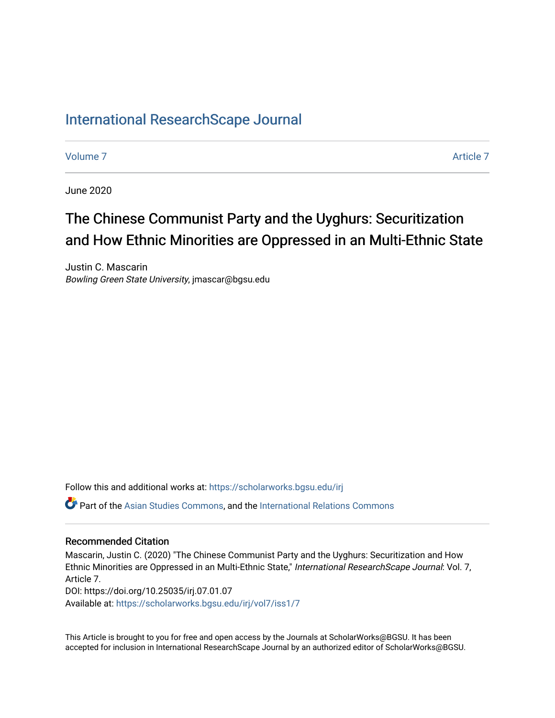# [International ResearchScape Journal](https://scholarworks.bgsu.edu/irj)

[Volume 7](https://scholarworks.bgsu.edu/irj/vol7) [Article 7](https://scholarworks.bgsu.edu/irj/vol7/iss1/7) Article 7 Article 7 Article 7 Article 7 Article 7 Article 7 Article 7

June 2020

# The Chinese Communist Party and the Uyghurs: Securitization and How Ethnic Minorities are Oppressed in an Multi-Ethnic State

Justin C. Mascarin Bowling Green State University, jmascar@bgsu.edu

Follow this and additional works at: [https://scholarworks.bgsu.edu/irj](https://scholarworks.bgsu.edu/irj?utm_source=scholarworks.bgsu.edu%2Firj%2Fvol7%2Fiss1%2F7&utm_medium=PDF&utm_campaign=PDFCoverPages) 

Part of the [Asian Studies Commons,](http://network.bepress.com/hgg/discipline/361?utm_source=scholarworks.bgsu.edu%2Firj%2Fvol7%2Fiss1%2F7&utm_medium=PDF&utm_campaign=PDFCoverPages) and the [International Relations Commons](http://network.bepress.com/hgg/discipline/389?utm_source=scholarworks.bgsu.edu%2Firj%2Fvol7%2Fiss1%2F7&utm_medium=PDF&utm_campaign=PDFCoverPages)

#### Recommended Citation

Mascarin, Justin C. (2020) "The Chinese Communist Party and the Uyghurs: Securitization and How Ethnic Minorities are Oppressed in an Multi-Ethnic State," International ResearchScape Journal: Vol. 7, Article 7. DOI: https://doi.org/10.25035/irj.07.01.07

Available at: [https://scholarworks.bgsu.edu/irj/vol7/iss1/7](https://scholarworks.bgsu.edu/irj/vol7/iss1/7?utm_source=scholarworks.bgsu.edu%2Firj%2Fvol7%2Fiss1%2F7&utm_medium=PDF&utm_campaign=PDFCoverPages)

This Article is brought to you for free and open access by the Journals at ScholarWorks@BGSU. It has been accepted for inclusion in International ResearchScape Journal by an authorized editor of ScholarWorks@BGSU.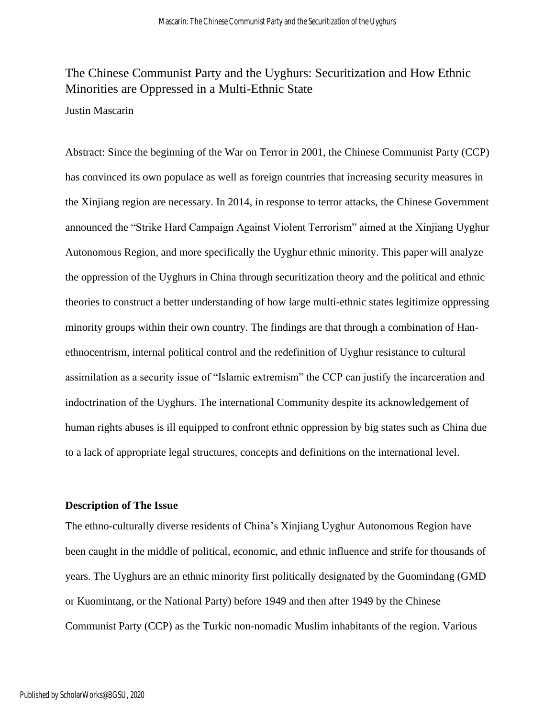# The Chinese Communist Party and the Uyghurs: Securitization and How Ethnic Minorities are Oppressed in a Multi-Ethnic State

## Justin Mascarin

Abstract: Since the beginning of the War on Terror in 2001, the Chinese Communist Party (CCP) has convinced its own populace as well as foreign countries that increasing security measures in the Xinjiang region are necessary. In 2014, in response to terror attacks, the Chinese Government announced the "Strike Hard Campaign Against Violent Terrorism" aimed at the Xinjiang Uyghur Autonomous Region, and more specifically the Uyghur ethnic minority. This paper will analyze the oppression of the Uyghurs in China through securitization theory and the political and ethnic theories to construct a better understanding of how large multi-ethnic states legitimize oppressing minority groups within their own country. The findings are that through a combination of Hanethnocentrism, internal political control and the redefinition of Uyghur resistance to cultural assimilation as a security issue of "Islamic extremism" the CCP can justify the incarceration and indoctrination of the Uyghurs. The international Community despite its acknowledgement of human rights abuses is ill equipped to confront ethnic oppression by big states such as China due to a lack of appropriate legal structures, concepts and definitions on the international level.

#### **Description of The Issue**

The ethno-culturally diverse residents of China's Xinjiang Uyghur Autonomous Region have been caught in the middle of political, economic, and ethnic influence and strife for thousands of years. The Uyghurs are an ethnic minority first politically designated by the Guomindang (GMD or Kuomintang, or the National Party) before 1949 and then after 1949 by the Chinese Communist Party (CCP) as the Turkic non-nomadic Muslim inhabitants of the region. Various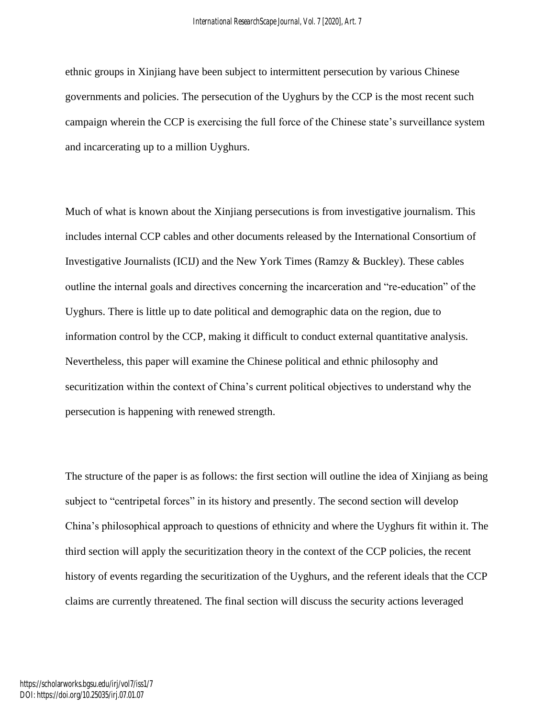ethnic groups in Xinjiang have been subject to intermittent persecution by various Chinese governments and policies. The persecution of the Uyghurs by the CCP is the most recent such campaign wherein the CCP is exercising the full force of the Chinese state's surveillance system and incarcerating up to a million Uyghurs.

Much of what is known about the Xinjiang persecutions is from investigative journalism. This includes internal CCP cables and other documents released by the International Consortium of Investigative Journalists (ICIJ) and the New York Times (Ramzy & Buckley). These cables outline the internal goals and directives concerning the incarceration and "re-education" of the Uyghurs. There is little up to date political and demographic data on the region, due to information control by the CCP, making it difficult to conduct external quantitative analysis. Nevertheless, this paper will examine the Chinese political and ethnic philosophy and securitization within the context of China's current political objectives to understand why the persecution is happening with renewed strength.

The structure of the paper is as follows: the first section will outline the idea of Xinjiang as being subject to "centripetal forces" in its history and presently. The second section will develop China's philosophical approach to questions of ethnicity and where the Uyghurs fit within it. The third section will apply the securitization theory in the context of the CCP policies, the recent history of events regarding the securitization of the Uyghurs, and the referent ideals that the CCP claims are currently threatened. The final section will discuss the security actions leveraged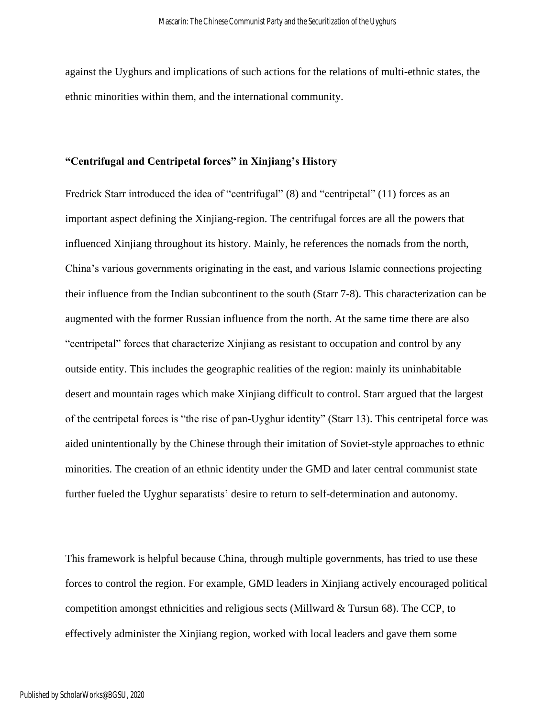against the Uyghurs and implications of such actions for the relations of multi-ethnic states, the ethnic minorities within them, and the international community.

## **"Centrifugal and Centripetal forces" in Xinjiang's History**

Fredrick Starr introduced the idea of "centrifugal" (8) and "centripetal" (11) forces as an important aspect defining the Xinjiang-region. The centrifugal forces are all the powers that influenced Xinjiang throughout its history. Mainly, he references the nomads from the north, China's various governments originating in the east, and various Islamic connections projecting their influence from the Indian subcontinent to the south (Starr 7-8). This characterization can be augmented with the former Russian influence from the north. At the same time there are also "centripetal" forces that characterize Xinjiang as resistant to occupation and control by any outside entity. This includes the geographic realities of the region: mainly its uninhabitable desert and mountain rages which make Xinjiang difficult to control. Starr argued that the largest of the centripetal forces is "the rise of pan-Uyghur identity" (Starr 13). This centripetal force was aided unintentionally by the Chinese through their imitation of Soviet-style approaches to ethnic minorities. The creation of an ethnic identity under the GMD and later central communist state further fueled the Uyghur separatists' desire to return to self-determination and autonomy.

This framework is helpful because China, through multiple governments, has tried to use these forces to control the region. For example, GMD leaders in Xinjiang actively encouraged political competition amongst ethnicities and religious sects (Millward & Tursun 68). The CCP, to effectively administer the Xinjiang region, worked with local leaders and gave them some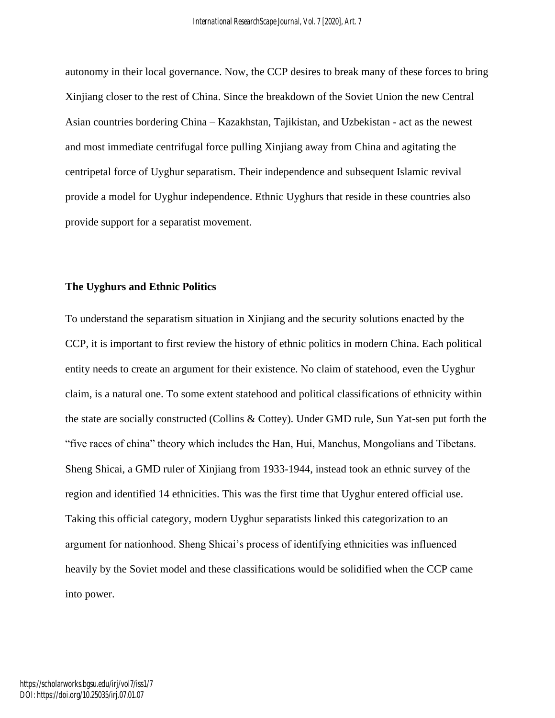autonomy in their local governance. Now, the CCP desires to break many of these forces to bring Xinjiang closer to the rest of China. Since the breakdown of the Soviet Union the new Central Asian countries bordering China – Kazakhstan, Tajikistan, and Uzbekistan - act as the newest and most immediate centrifugal force pulling Xinjiang away from China and agitating the centripetal force of Uyghur separatism. Their independence and subsequent Islamic revival provide a model for Uyghur independence. Ethnic Uyghurs that reside in these countries also provide support for a separatist movement.

#### **The Uyghurs and Ethnic Politics**

To understand the separatism situation in Xinjiang and the security solutions enacted by the CCP, it is important to first review the history of ethnic politics in modern China. Each political entity needs to create an argument for their existence. No claim of statehood, even the Uyghur claim, is a natural one. To some extent statehood and political classifications of ethnicity within the state are socially constructed (Collins & Cottey). Under GMD rule, Sun Yat-sen put forth the "five races of china" theory which includes the Han, Hui, Manchus, Mongolians and Tibetans. Sheng Shicai, a GMD ruler of Xinjiang from 1933-1944, instead took an ethnic survey of the region and identified 14 ethnicities. This was the first time that Uyghur entered official use. Taking this official category, modern Uyghur separatists linked this categorization to an argument for nationhood. Sheng Shicai's process of identifying ethnicities was influenced heavily by the Soviet model and these classifications would be solidified when the CCP came into power.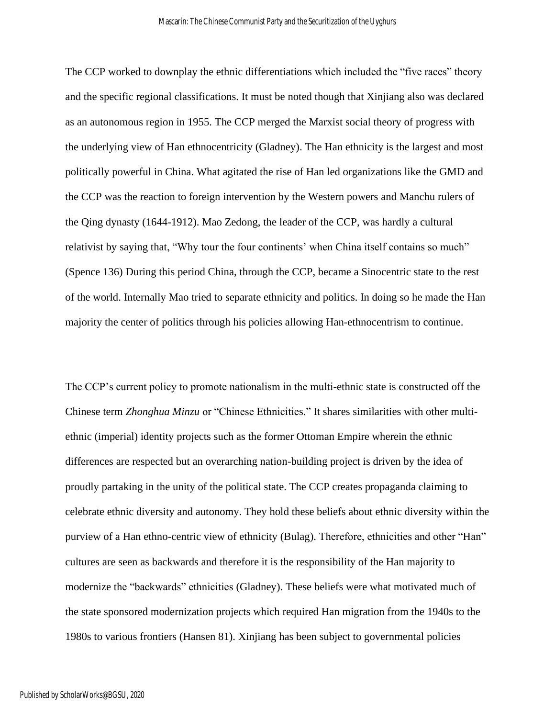The CCP worked to downplay the ethnic differentiations which included the "five races" theory and the specific regional classifications. It must be noted though that Xinjiang also was declared as an autonomous region in 1955. The CCP merged the Marxist social theory of progress with the underlying view of Han ethnocentricity (Gladney). The Han ethnicity is the largest and most politically powerful in China. What agitated the rise of Han led organizations like the GMD and the CCP was the reaction to foreign intervention by the Western powers and Manchu rulers of the Qing dynasty (1644-1912). Mao Zedong, the leader of the CCP, was hardly a cultural relativist by saying that, "Why tour the four continents' when China itself contains so much" (Spence 136) During this period China, through the CCP, became a Sinocentric state to the rest of the world. Internally Mao tried to separate ethnicity and politics. In doing so he made the Han majority the center of politics through his policies allowing Han-ethnocentrism to continue.

The CCP's current policy to promote nationalism in the multi-ethnic state is constructed off the Chinese term *Zhonghua Minzu* or "Chinese Ethnicities." It shares similarities with other multiethnic (imperial) identity projects such as the former Ottoman Empire wherein the ethnic differences are respected but an overarching nation-building project is driven by the idea of proudly partaking in the unity of the political state. The CCP creates propaganda claiming to celebrate ethnic diversity and autonomy. They hold these beliefs about ethnic diversity within the purview of a Han ethno-centric view of ethnicity (Bulag). Therefore, ethnicities and other "Han" cultures are seen as backwards and therefore it is the responsibility of the Han majority to modernize the "backwards" ethnicities (Gladney). These beliefs were what motivated much of the state sponsored modernization projects which required Han migration from the 1940s to the 1980s to various frontiers (Hansen 81). Xinjiang has been subject to governmental policies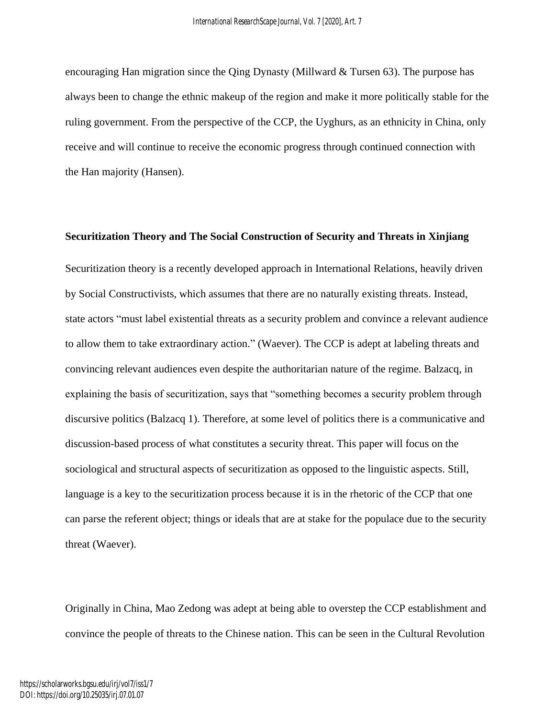encouraging Han migration since the Qing Dynasty (Millward & Tursen 63). The purpose has always been to change the ethnic makeup of the region and make it more politically stable for the ruling government. From the perspective of the CCP, the Uyghurs, as an ethnicity in China, only receive and will continue to receive the economic progress through continued connection with the Han majority (Hansen).

#### **Securitization Theory and The Social Construction of Security and Threats in Xinjiang**

Securitization theory is a recently developed approach in International Relations, heavily driven by Social Constructivists, which assumes that there are no naturally existing threats. Instead, state actors "must label existential threats as a security problem and convince a relevant audience to allow them to take extraordinary action." (Waever). The CCP is adept at labeling threats and convincing relevant audiences even despite the authoritarian nature of the regime. Balzacq, in explaining the basis of securitization, says that "something becomes a security problem through discursive politics (Balzacq 1). Therefore, at some level of politics there is a communicative and discussion-based process of what constitutes a security threat. This paper will focus on the sociological and structural aspects of securitization as opposed to the linguistic aspects. Still, language is a key to the securitization process because it is in the rhetoric of the CCP that one can parse the referent object; things or ideals that are at stake for the populace due to the security threat (Waever).

Originally in China, Mao Zedong was adept at being able to overstep the CCP establishment and convince the people of threats to the Chinese nation. This can be seen in the Cultural Revolution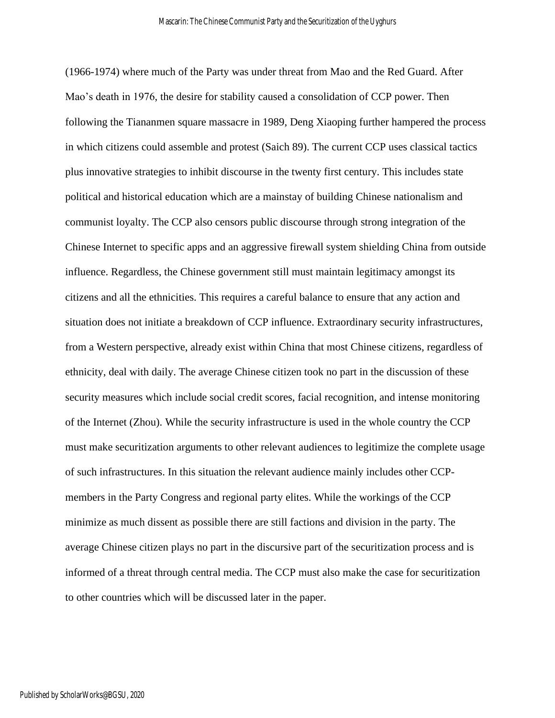(1966-1974) where much of the Party was under threat from Mao and the Red Guard. After Mao's death in 1976, the desire for stability caused a consolidation of CCP power. Then following the Tiananmen square massacre in 1989, Deng Xiaoping further hampered the process in which citizens could assemble and protest (Saich 89). The current CCP uses classical tactics plus innovative strategies to inhibit discourse in the twenty first century. This includes state political and historical education which are a mainstay of building Chinese nationalism and communist loyalty. The CCP also censors public discourse through strong integration of the Chinese Internet to specific apps and an aggressive firewall system shielding China from outside influence. Regardless, the Chinese government still must maintain legitimacy amongst its citizens and all the ethnicities. This requires a careful balance to ensure that any action and situation does not initiate a breakdown of CCP influence. Extraordinary security infrastructures, from a Western perspective, already exist within China that most Chinese citizens, regardless of ethnicity, deal with daily. The average Chinese citizen took no part in the discussion of these security measures which include social credit scores, facial recognition, and intense monitoring of the Internet (Zhou). While the security infrastructure is used in the whole country the CCP must make securitization arguments to other relevant audiences to legitimize the complete usage of such infrastructures. In this situation the relevant audience mainly includes other CCPmembers in the Party Congress and regional party elites. While the workings of the CCP minimize as much dissent as possible there are still factions and division in the party. The average Chinese citizen plays no part in the discursive part of the securitization process and is informed of a threat through central media. The CCP must also make the case for securitization to other countries which will be discussed later in the paper.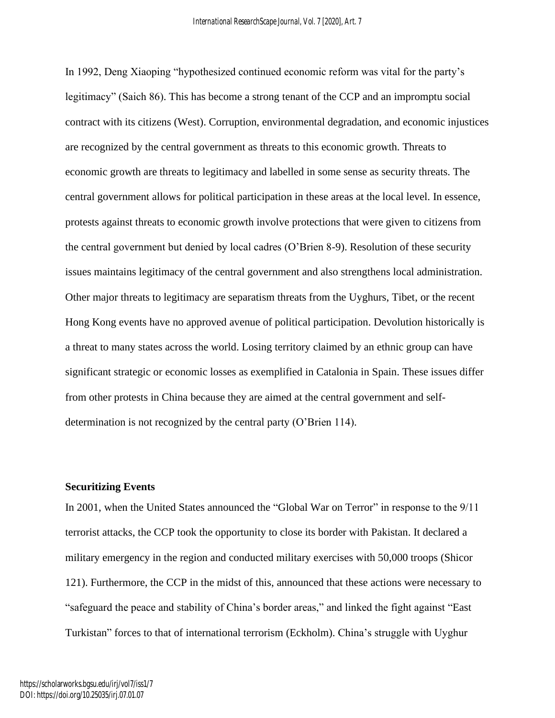In 1992, Deng Xiaoping "hypothesized continued economic reform was vital for the party's legitimacy" (Saich 86). This has become a strong tenant of the CCP and an impromptu social contract with its citizens (West). Corruption, environmental degradation, and economic injustices are recognized by the central government as threats to this economic growth. Threats to economic growth are threats to legitimacy and labelled in some sense as security threats. The central government allows for political participation in these areas at the local level. In essence, protests against threats to economic growth involve protections that were given to citizens from the central government but denied by local cadres (O'Brien 8-9). Resolution of these security issues maintains legitimacy of the central government and also strengthens local administration. Other major threats to legitimacy are separatism threats from the Uyghurs, Tibet, or the recent Hong Kong events have no approved avenue of political participation. Devolution historically is a threat to many states across the world. Losing territory claimed by an ethnic group can have significant strategic or economic losses as exemplified in Catalonia in Spain. These issues differ from other protests in China because they are aimed at the central government and selfdetermination is not recognized by the central party (O'Brien 114).

#### **Securitizing Events**

In 2001, when the United States announced the "Global War on Terror" in response to the 9/11 terrorist attacks, the CCP took the opportunity to close its border with Pakistan. It declared a military emergency in the region and conducted military exercises with 50,000 troops (Shicor 121). Furthermore, the CCP in the midst of this, announced that these actions were necessary to "safeguard the peace and stability of China's border areas," and linked the fight against "East Turkistan" forces to that of international terrorism (Eckholm). China's struggle with Uyghur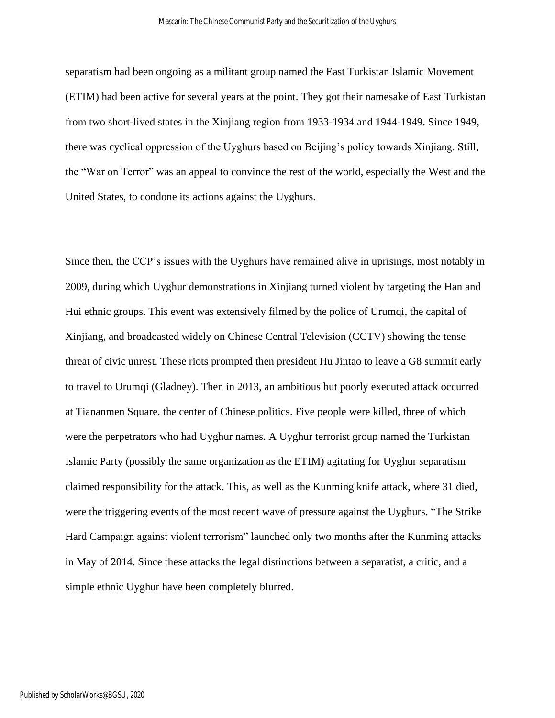separatism had been ongoing as a militant group named the East Turkistan Islamic Movement (ETIM) had been active for several years at the point. They got their namesake of East Turkistan from two short-lived states in the Xinjiang region from 1933-1934 and 1944-1949. Since 1949, there was cyclical oppression of the Uyghurs based on Beijing's policy towards Xinjiang. Still, the "War on Terror" was an appeal to convince the rest of the world, especially the West and the United States, to condone its actions against the Uyghurs.

Since then, the CCP's issues with the Uyghurs have remained alive in uprisings, most notably in 2009, during which Uyghur demonstrations in Xinjiang turned violent by targeting the Han and Hui ethnic groups. This event was extensively filmed by the police of Urumqi, the capital of Xinjiang, and broadcasted widely on Chinese Central Television (CCTV) showing the tense threat of civic unrest. These riots prompted then president Hu Jintao to leave a G8 summit early to travel to Urumqi (Gladney). Then in 2013, an ambitious but poorly executed attack occurred at Tiananmen Square, the center of Chinese politics. Five people were killed, three of which were the perpetrators who had Uyghur names. A Uyghur terrorist group named the Turkistan Islamic Party (possibly the same organization as the ETIM) agitating for Uyghur separatism claimed responsibility for the attack. This, as well as the Kunming knife attack, where 31 died, were the triggering events of the most recent wave of pressure against the Uyghurs. "The Strike Hard Campaign against violent terrorism" launched only two months after the Kunming attacks in May of 2014. Since these attacks the legal distinctions between a separatist, a critic, and a simple ethnic Uyghur have been completely blurred.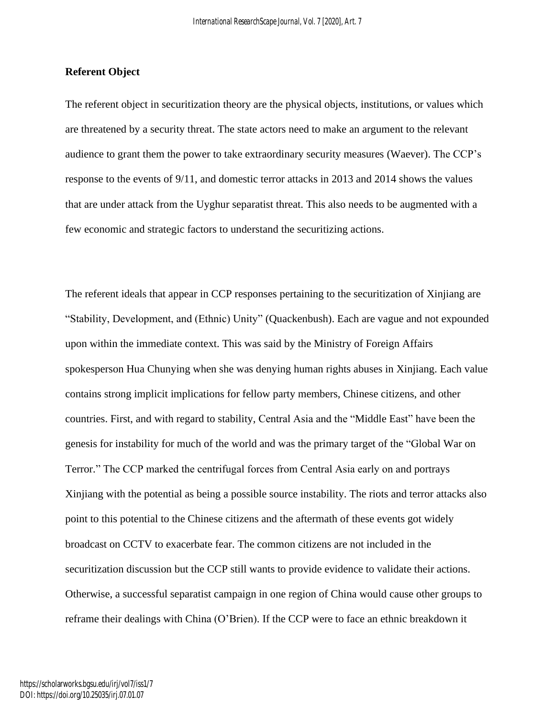#### **Referent Object**

The referent object in securitization theory are the physical objects, institutions, or values which are threatened by a security threat. The state actors need to make an argument to the relevant audience to grant them the power to take extraordinary security measures (Waever). The CCP's response to the events of 9/11, and domestic terror attacks in 2013 and 2014 shows the values that are under attack from the Uyghur separatist threat. This also needs to be augmented with a few economic and strategic factors to understand the securitizing actions.

The referent ideals that appear in CCP responses pertaining to the securitization of Xinjiang are "Stability, Development, and (Ethnic) Unity" (Quackenbush). Each are vague and not expounded upon within the immediate context. This was said by the Ministry of Foreign Affairs spokesperson Hua Chunying when she was denying human rights abuses in Xinjiang. Each value contains strong implicit implications for fellow party members, Chinese citizens, and other countries. First, and with regard to stability, Central Asia and the "Middle East" have been the genesis for instability for much of the world and was the primary target of the "Global War on Terror." The CCP marked the centrifugal forces from Central Asia early on and portrays Xinjiang with the potential as being a possible source instability. The riots and terror attacks also point to this potential to the Chinese citizens and the aftermath of these events got widely broadcast on CCTV to exacerbate fear. The common citizens are not included in the securitization discussion but the CCP still wants to provide evidence to validate their actions. Otherwise, a successful separatist campaign in one region of China would cause other groups to reframe their dealings with China (O'Brien). If the CCP were to face an ethnic breakdown it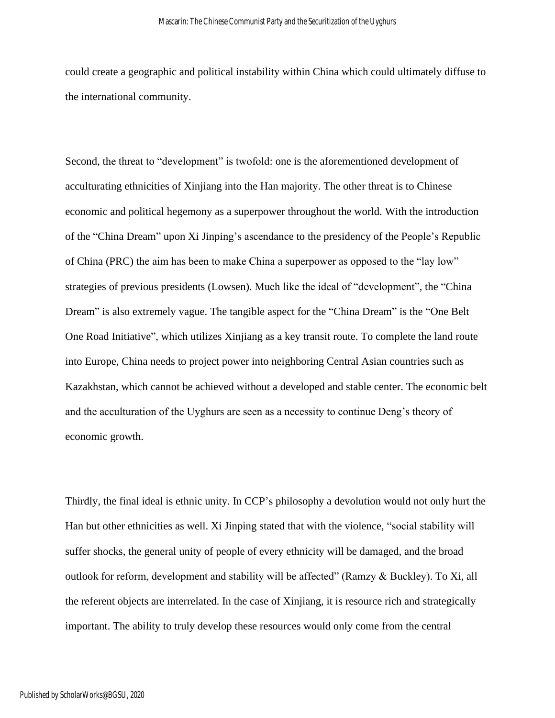could create a geographic and political instability within China which could ultimately diffuse to the international community.

Second, the threat to "development" is twofold: one is the aforementioned development of acculturating ethnicities of Xinjiang into the Han majority. The other threat is to Chinese economic and political hegemony as a superpower throughout the world. With the introduction of the "China Dream" upon Xi Jinping's ascendance to the presidency of the People's Republic of China (PRC) the aim has been to make China a superpower as opposed to the "lay low" strategies of previous presidents (Lowsen). Much like the ideal of "development", the "China Dream" is also extremely vague. The tangible aspect for the "China Dream" is the "One Belt One Road Initiative", which utilizes Xinjiang as a key transit route. To complete the land route into Europe, China needs to project power into neighboring Central Asian countries such as Kazakhstan, which cannot be achieved without a developed and stable center. The economic belt and the acculturation of the Uyghurs are seen as a necessity to continue Deng's theory of economic growth.

Thirdly, the final ideal is ethnic unity. In CCP's philosophy a devolution would not only hurt the Han but other ethnicities as well. Xi Jinping stated that with the violence, "social stability will suffer shocks, the general unity of people of every ethnicity will be damaged, and the broad outlook for reform, development and stability will be affected" (Ramzy & Buckley). To Xi, all the referent objects are interrelated. In the case of Xinjiang, it is resource rich and strategically important. The ability to truly develop these resources would only come from the central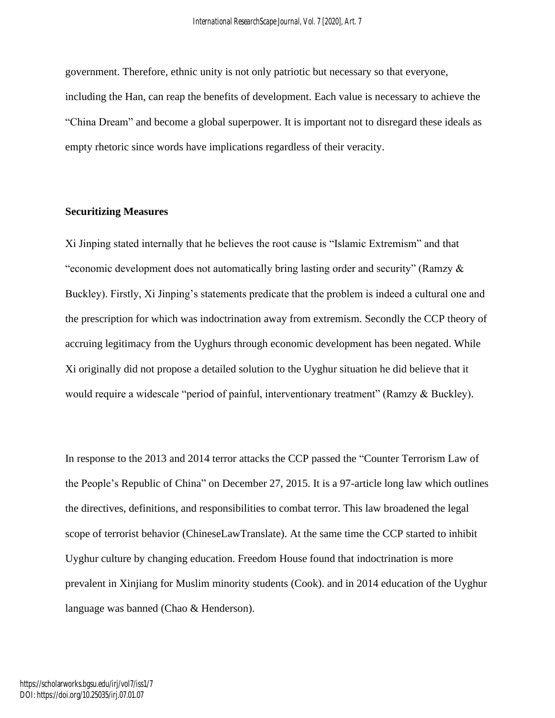government. Therefore, ethnic unity is not only patriotic but necessary so that everyone, including the Han, can reap the benefits of development. Each value is necessary to achieve the "China Dream" and become a global superpower. It is important not to disregard these ideals as empty rhetoric since words have implications regardless of their veracity.

## **Securitizing Measures**

Xi Jinping stated internally that he believes the root cause is "Islamic Extremism" and that "economic development does not automatically bring lasting order and security" (Ramzy & Buckley). Firstly, Xi Jinping's statements predicate that the problem is indeed a cultural one and the prescription for which was indoctrination away from extremism. Secondly the CCP theory of accruing legitimacy from the Uyghurs through economic development has been negated. While Xi originally did not propose a detailed solution to the Uyghur situation he did believe that it would require a widescale "period of painful, interventionary treatment" (Ramzy & Buckley).

In response to the 2013 and 2014 terror attacks the CCP passed the "Counter Terrorism Law of the People's Republic of China" on December 27, 2015. It is a 97-article long law which outlines the directives, definitions, and responsibilities to combat terror. This law broadened the legal scope of terrorist behavior (ChineseLawTranslate). At the same time the CCP started to inhibit Uyghur culture by changing education. Freedom House found that indoctrination is more prevalent in Xinjiang for Muslim minority students (Cook). and in 2014 education of the Uyghur language was banned (Chao & Henderson).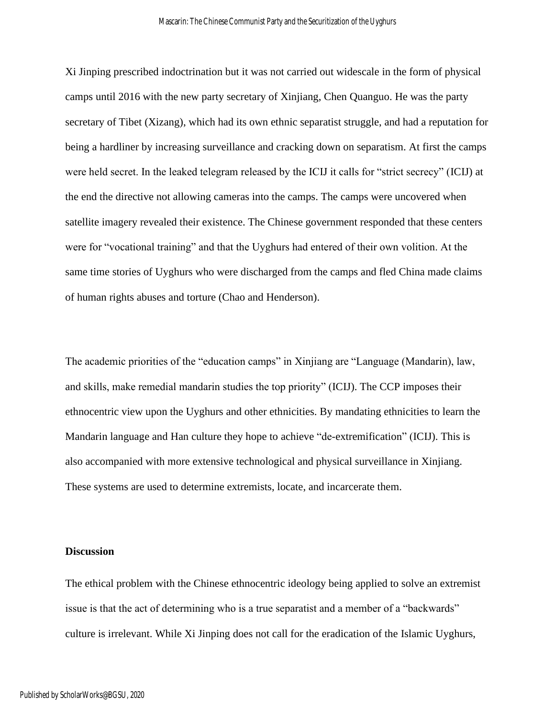Xi Jinping prescribed indoctrination but it was not carried out widescale in the form of physical camps until 2016 with the new party secretary of Xinjiang, Chen Quanguo. He was the party secretary of Tibet (Xizang), which had its own ethnic separatist struggle, and had a reputation for being a hardliner by increasing surveillance and cracking down on separatism. At first the camps were held secret. In the leaked telegram released by the ICIJ it calls for "strict secrecy" (ICIJ) at the end the directive not allowing cameras into the camps. The camps were uncovered when satellite imagery revealed their existence. The Chinese government responded that these centers were for "vocational training" and that the Uyghurs had entered of their own volition. At the same time stories of Uyghurs who were discharged from the camps and fled China made claims of human rights abuses and torture (Chao and Henderson).

The academic priorities of the "education camps" in Xinjiang are "Language (Mandarin), law, and skills, make remedial mandarin studies the top priority" (ICIJ). The CCP imposes their ethnocentric view upon the Uyghurs and other ethnicities. By mandating ethnicities to learn the Mandarin language and Han culture they hope to achieve "de-extremification" (ICIJ). This is also accompanied with more extensive technological and physical surveillance in Xinjiang. These systems are used to determine extremists, locate, and incarcerate them.

#### **Discussion**

The ethical problem with the Chinese ethnocentric ideology being applied to solve an extremist issue is that the act of determining who is a true separatist and a member of a "backwards" culture is irrelevant. While Xi Jinping does not call for the eradication of the Islamic Uyghurs,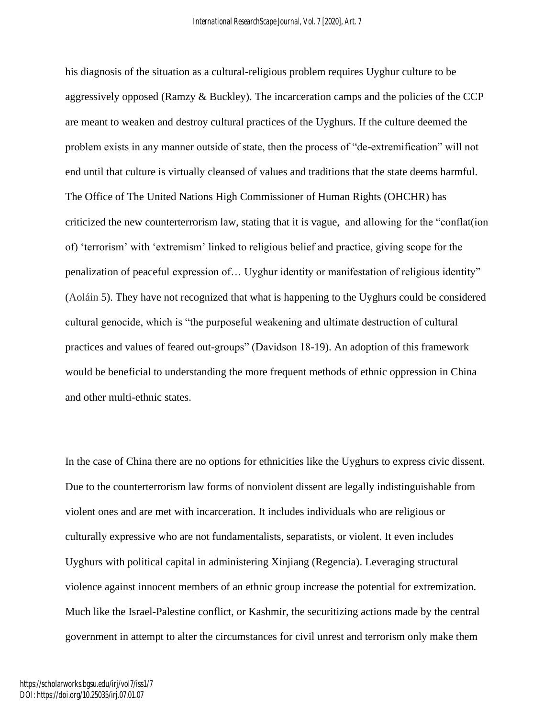his diagnosis of the situation as a cultural-religious problem requires Uyghur culture to be aggressively opposed (Ramzy  $\&$  Buckley). The incarceration camps and the policies of the CCP are meant to weaken and destroy cultural practices of the Uyghurs. If the culture deemed the problem exists in any manner outside of state, then the process of "de-extremification" will not end until that culture is virtually cleansed of values and traditions that the state deems harmful. The Office of The United Nations High Commissioner of Human Rights (OHCHR) has criticized the new counterterrorism law, stating that it is vague, and allowing for the "conflat(ion of) 'terrorism' with 'extremism' linked to religious belief and practice, giving scope for the penalization of peaceful expression of… Uyghur identity or manifestation of religious identity" (Aoláin 5). They have not recognized that what is happening to the Uyghurs could be considered cultural genocide, which is "the purposeful weakening and ultimate destruction of cultural practices and values of feared out-groups" (Davidson 18-19). An adoption of this framework would be beneficial to understanding the more frequent methods of ethnic oppression in China and other multi-ethnic states.

In the case of China there are no options for ethnicities like the Uyghurs to express civic dissent. Due to the counterterrorism law forms of nonviolent dissent are legally indistinguishable from violent ones and are met with incarceration. It includes individuals who are religious or culturally expressive who are not fundamentalists, separatists, or violent. It even includes Uyghurs with political capital in administering Xinjiang (Regencia). Leveraging structural violence against innocent members of an ethnic group increase the potential for extremization. Much like the Israel-Palestine conflict, or Kashmir, the securitizing actions made by the central government in attempt to alter the circumstances for civil unrest and terrorism only make them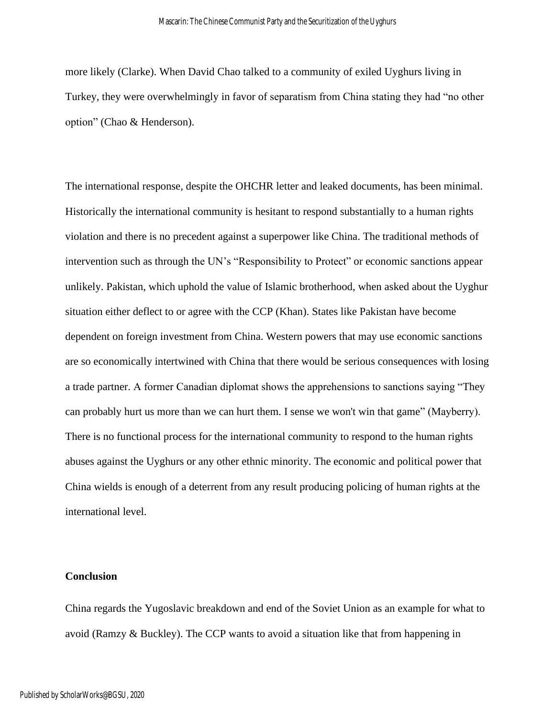more likely (Clarke). When David Chao talked to a community of exiled Uyghurs living in Turkey, they were overwhelmingly in favor of separatism from China stating they had "no other option" (Chao & Henderson).

The international response, despite the OHCHR letter and leaked documents, has been minimal. Historically the international community is hesitant to respond substantially to a human rights violation and there is no precedent against a superpower like China. The traditional methods of intervention such as through the UN's "Responsibility to Protect" or economic sanctions appear unlikely. Pakistan, which uphold the value of Islamic brotherhood, when asked about the Uyghur situation either deflect to or agree with the CCP (Khan). States like Pakistan have become dependent on foreign investment from China. Western powers that may use economic sanctions are so economically intertwined with China that there would be serious consequences with losing a trade partner. A former Canadian diplomat shows the apprehensions to sanctions saying "They can probably hurt us more than we can hurt them. I sense we won't win that game" (Mayberry). There is no functional process for the international community to respond to the human rights abuses against the Uyghurs or any other ethnic minority. The economic and political power that China wields is enough of a deterrent from any result producing policing of human rights at the international level.

#### **Conclusion**

China regards the Yugoslavic breakdown and end of the Soviet Union as an example for what to avoid (Ramzy & Buckley). The CCP wants to avoid a situation like that from happening in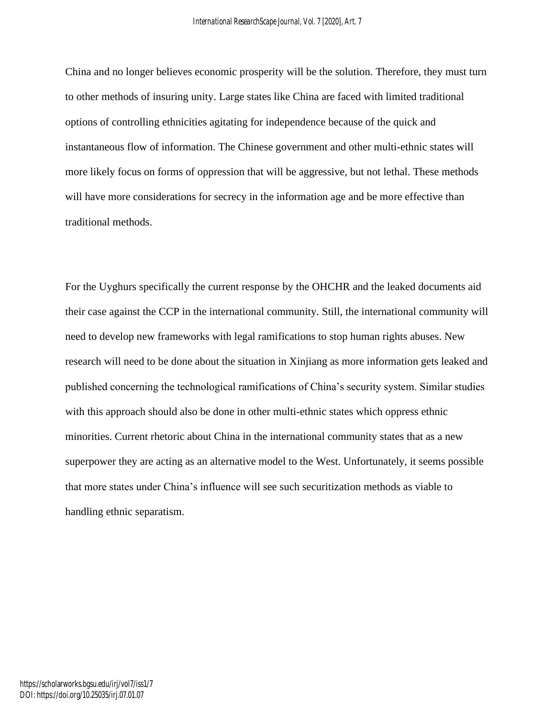China and no longer believes economic prosperity will be the solution. Therefore, they must turn to other methods of insuring unity. Large states like China are faced with limited traditional options of controlling ethnicities agitating for independence because of the quick and instantaneous flow of information. The Chinese government and other multi-ethnic states will more likely focus on forms of oppression that will be aggressive, but not lethal. These methods will have more considerations for secrecy in the information age and be more effective than traditional methods.

For the Uyghurs specifically the current response by the OHCHR and the leaked documents aid their case against the CCP in the international community. Still, the international community will need to develop new frameworks with legal ramifications to stop human rights abuses. New research will need to be done about the situation in Xinjiang as more information gets leaked and published concerning the technological ramifications of China's security system. Similar studies with this approach should also be done in other multi-ethnic states which oppress ethnic minorities. Current rhetoric about China in the international community states that as a new superpower they are acting as an alternative model to the West. Unfortunately, it seems possible that more states under China's influence will see such securitization methods as viable to handling ethnic separatism.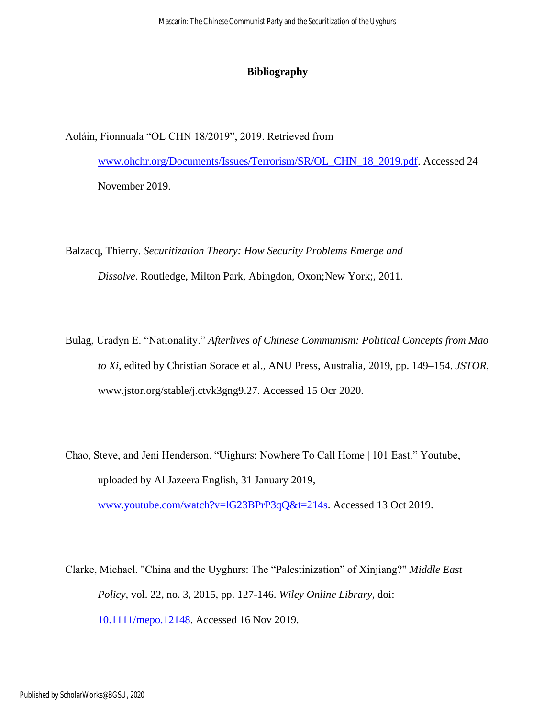#### **Bibliography**

Aoláin, Fionnuala "OL CHN 18/2019", 2019. Retrieved from

[www.ohchr.org/Documents/Issues/Terrorism/SR/OL\\_CHN\\_18\\_2019.pdf.](http://www.ohchr.org/Documents/Issues/Terrorism/SR/OL_CHN_18_2019.pdf) Accessed 24 November 2019.

Balzacq, Thierry. *Securitization Theory: How Security Problems Emerge and Dissolve*. Routledge, Milton Park, Abingdon, Oxon;New York;, 2011.

- Bulag, Uradyn E. "Nationality." *Afterlives of Chinese Communism: Political Concepts from Mao to Xi*, edited by Christian Sorace et al., ANU Press, Australia, 2019, pp. 149–154. *JSTOR*, www.jstor.org/stable/j.ctvk3gng9.27. Accessed 15 Ocr 2020.
- Chao, Steve, and Jeni Henderson. "Uighurs: Nowhere To Call Home | 101 East." Youtube, uploaded by Al Jazeera English, 31 January 2019,

[www.youtube.com/watch?v=lG23BPrP3qQ&t=214s.](http://www.youtube.com/watch?v=lG23BPrP3qQ&t=214s) Accessed 13 Oct 2019.

Clarke, Michael. "China and the Uyghurs: The "Palestinization" of Xinjiang?" *Middle East Policy*, vol. 22, no. 3, 2015, pp. 127-146. *Wiley Online Library*, doi: [10.1111/mepo.12148.](https://doi-org.ezproxy.bgsu.edu/10.1111/mepo.12148) Accessed 16 Nov 2019.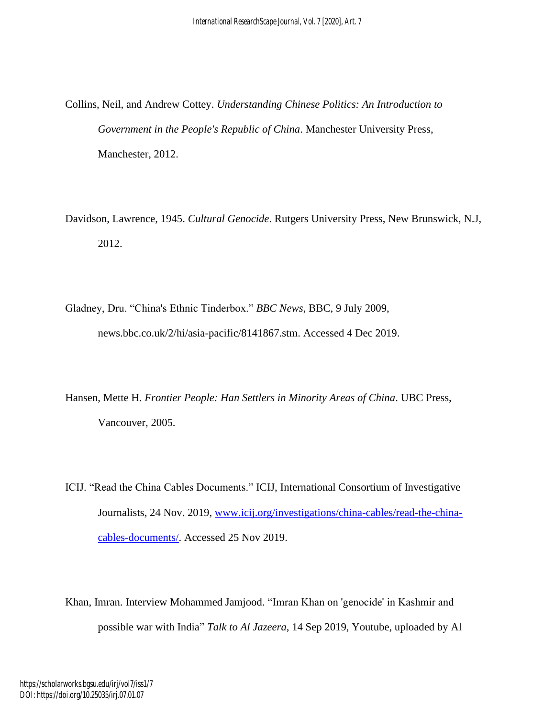Collins, Neil, and Andrew Cottey. *Understanding Chinese Politics: An Introduction to Government in the People's Republic of China*. Manchester University Press, Manchester, 2012.

Davidson, Lawrence, 1945. *Cultural Genocide*. Rutgers University Press, New Brunswick, N.J, 2012.

Gladney, Dru. "China's Ethnic Tinderbox." *BBC News*, BBC, 9 July 2009, news.bbc.co.uk/2/hi/asia-pacific/8141867.stm. Accessed 4 Dec 2019.

Hansen, Mette H. *Frontier People: Han Settlers in Minority Areas of China*. UBC Press, Vancouver, 2005.

ICIJ. "Read the China Cables Documents." ICIJ, International Consortium of Investigative Journalists, 24 Nov. 2019, [www.icij.org/investigations/china-cables/read-the-china](http://www.icij.org/investigations/china-cables/read-the-china-cables-documents/)[cables-documents/.](http://www.icij.org/investigations/china-cables/read-the-china-cables-documents/) Accessed 25 Nov 2019.

Khan, Imran. Interview Mohammed Jamjood. "Imran Khan on 'genocide' in Kashmir and possible war with India" *Talk to Al Jazeera*, 14 Sep 2019, Youtube, uploaded by Al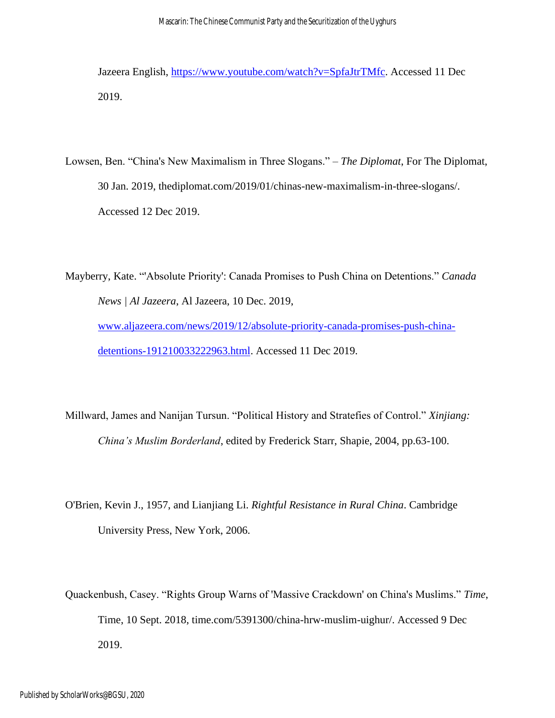Jazeera English, [https://www.youtube.com/watch?v=SpfaJtrTMfc.](https://www.youtube.com/watch?v=SpfaJtrTMfc) Accessed 11 Dec 2019.

Lowsen, Ben. "China's New Maximalism in Three Slogans." – *The Diplomat*, For The Diplomat, 30 Jan. 2019, thediplomat.com/2019/01/chinas-new-maximalism-in-three-slogans/. Accessed 12 Dec 2019.

Mayberry, Kate. "'Absolute Priority': Canada Promises to Push China on Detentions." *Canada News | Al Jazeera*, Al Jazeera, 10 Dec. 2019, [www.aljazeera.com/news/2019/12/absolute-priority-canada-promises-push-china](http://www.aljazeera.com/news/2019/12/absolute-priority-canada-promises-push-china-detentions-191210033222963.html)[detentions-191210033222963.html.](http://www.aljazeera.com/news/2019/12/absolute-priority-canada-promises-push-china-detentions-191210033222963.html) Accessed 11 Dec 2019.

Millward, James and Nanijan Tursun. "Political History and Stratefies of Control." *Xinjiang: China's Muslim Borderland*, edited by Frederick Starr, Shapie, 2004, pp.63-100.

O'Brien, Kevin J., 1957, and Lianjiang Li. *Rightful Resistance in Rural China*. Cambridge University Press, New York, 2006.

Quackenbush, Casey. "Rights Group Warns of 'Massive Crackdown' on China's Muslims." *Time*, Time, 10 Sept. 2018, time.com/5391300/china-hrw-muslim-uighur/. Accessed 9 Dec 2019.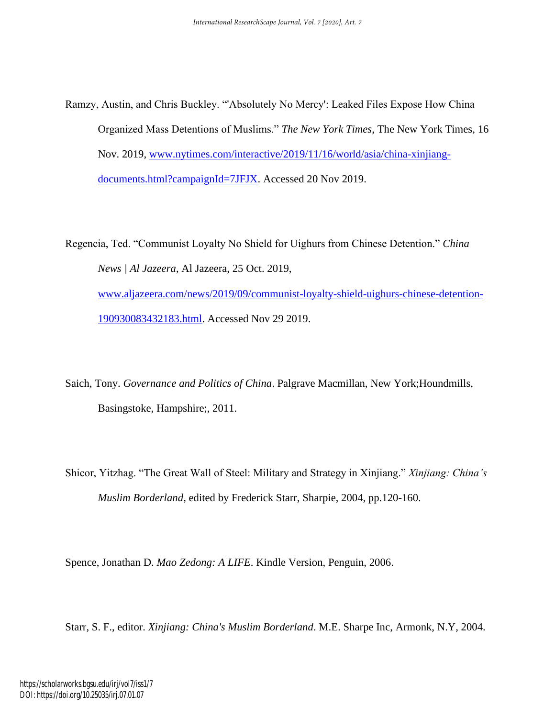Ramzy, Austin, and Chris Buckley. "'Absolutely No Mercy': Leaked Files Expose How China Organized Mass Detentions of Muslims." *The New York Times*, The New York Times, 16 Nov. 2019, [www.nytimes.com/interactive/2019/11/16/world/asia/china-xinjiang](http://www.nytimes.com/interactive/2019/11/16/world/asia/china-xinjiang-documents.html?campaignId=7JFJX)[documents.html?campaignId=7JFJX.](http://www.nytimes.com/interactive/2019/11/16/world/asia/china-xinjiang-documents.html?campaignId=7JFJX) Accessed 20 Nov 2019.

Regencia, Ted. "Communist Loyalty No Shield for Uighurs from Chinese Detention." *China News | Al Jazeera*, Al Jazeera, 25 Oct. 2019, [www.aljazeera.com/news/2019/09/communist-loyalty-shield-uighurs-chinese-detention-](http://www.aljazeera.com/news/2019/09/communist-loyalty-shield-uighurs-chinese-detention-190930083432183.html)[190930083432183.html.](http://www.aljazeera.com/news/2019/09/communist-loyalty-shield-uighurs-chinese-detention-190930083432183.html) Accessed Nov 29 2019.

Saich, Tony. *Governance and Politics of China*. Palgrave Macmillan, New York;Houndmills, Basingstoke, Hampshire;, 2011.

Shicor, Yitzhag. "The Great Wall of Steel: Military and Strategy in Xinjiang." *Xinjiang: China's Muslim Borderland*, edited by Frederick Starr, Sharpie, 2004, pp.120-160.

Spence, Jonathan D. *Mao Zedong: A LIFE*. Kindle Version, Penguin, 2006.

Starr, S. F., editor. *Xinjiang: China's Muslim Borderland*. M.E. Sharpe Inc, Armonk, N.Y, 2004.